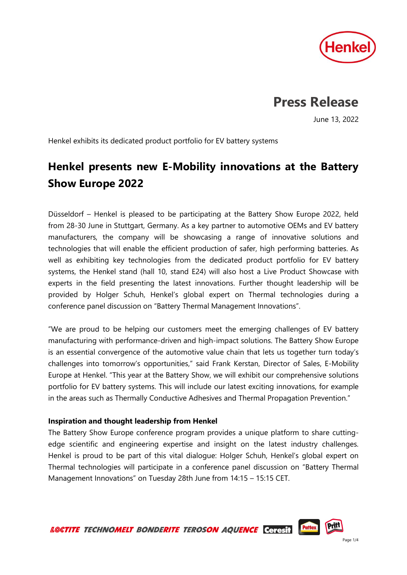

# **Press Release**

June 13, 2022

Henkel exhibits its dedicated product portfolio for EV battery systems

## **Henkel presents new E-Mobility innovations at the Battery Show Europe 2022**

Düsseldorf – Henkel is pleased to be participating at the Battery Show Europe 2022, held from 28-30 June in Stuttgart, Germany. As a key partner to automotive OEMs and EV battery manufacturers, the company will be showcasing a range of innovative solutions and technologies that will enable the efficient production of safer, high performing batteries. As well as exhibiting key technologies from the dedicated product portfolio for EV battery systems, the Henkel stand (hall 10, stand E24) will also host a Live Product Showcase with experts in the field presenting the latest innovations. Further thought leadership will be provided by Holger Schuh, Henkel's global expert on Thermal technologies during a conference panel discussion on "Battery Thermal Management Innovations".

"We are proud to be helping our customers meet the emerging challenges of EV battery manufacturing with performance-driven and high-impact solutions. The Battery Show Europe is an essential convergence of the automotive value chain that lets us together turn today's challenges into tomorrow's opportunities," said Frank Kerstan, Director of Sales, E-Mobility Europe at Henkel. "This year at the Battery Show, we will exhibit our comprehensive solutions portfolio for EV battery systems. This will include our latest exciting innovations, for example in the areas such as Thermally Conductive Adhesives and Thermal Propagation Prevention."

### **Inspiration and thought leadership from Henkel**

The Battery Show Europe conference program provides a unique platform to share cuttingedge scientific and engineering expertise and insight on the latest industry challenges. Henkel is proud to be part of this vital dialogue: Holger Schuh, Henkel's global expert on Thermal technologies will participate in a conference panel discussion on "Battery Thermal Management Innovations" on Tuesday 28th June from 14:15 – 15:15 CET.

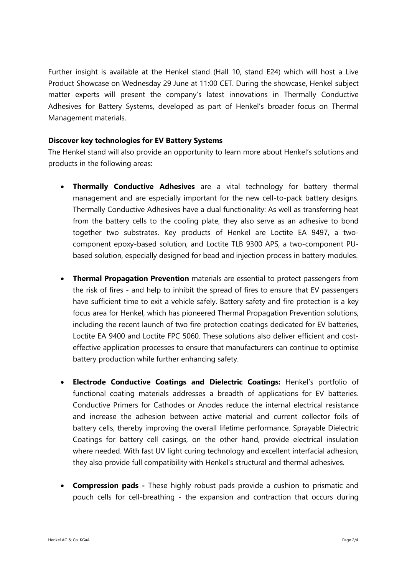Further insight is available at the Henkel stand (Hall 10, stand E24) which will host a Live Product Showcase on Wednesday 29 June at 11:00 CET. During the showcase, Henkel subject matter experts will present the company's latest innovations in Thermally Conductive Adhesives for Battery Systems, developed as part of Henkel's broader focus on Thermal Management materials.

### **Discover key technologies for EV Battery Systems**

The Henkel stand will also provide an opportunity to learn more about Henkel's solutions and products in the following areas:

- **Thermally Conductive Adhesives** are a vital technology for battery thermal management and are especially important for the new cell-to-pack battery designs. Thermally Conductive Adhesives have a dual functionality: As well as transferring heat from the battery cells to the cooling plate, they also serve as an adhesive to bond together two substrates. Key products of Henkel are Loctite EA 9497, a twocomponent epoxy-based solution, and Loctite TLB 9300 APS, a two-component PUbased solution, especially designed for bead and injection process in battery modules.
- **Thermal Propagation Prevention** materials are essential to protect passengers from the risk of fires - and help to inhibit the spread of fires to ensure that EV passengers have sufficient time to exit a vehicle safely. Battery safety and fire protection is a key focus area for Henkel, which has pioneered Thermal Propagation Prevention solutions, including the recent launch of two fire protection coatings dedicated for EV batteries, Loctite EA 9400 and Loctite FPC 5060. These solutions also deliver efficient and costeffective application processes to ensure that manufacturers can continue to optimise battery production while further enhancing safety.
- **Electrode Conductive Coatings and Dielectric Coatings:** Henkel's portfolio of functional coating materials addresses a breadth of applications for EV batteries. Conductive Primers for Cathodes or Anodes reduce the internal electrical resistance and increase the adhesion between active material and current collector foils of battery cells, thereby improving the overall lifetime performance. Sprayable Dielectric Coatings for battery cell casings, on the other hand, provide electrical insulation where needed. With fast UV light curing technology and excellent interfacial adhesion, they also provide full compatibility with Henkel's structural and thermal adhesives.
- **Compression pads -** These highly robust pads provide a cushion to prismatic and pouch cells for cell-breathing - the expansion and contraction that occurs during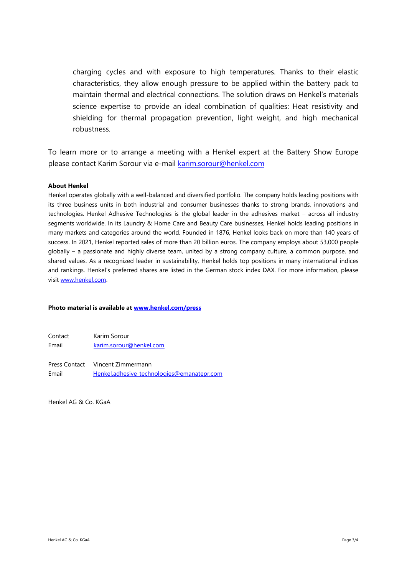charging cycles and with exposure to high temperatures. Thanks to their elastic characteristics, they allow enough pressure to be applied within the battery pack to maintain thermal and electrical connections. The solution draws on Henkel's materials science expertise to provide an ideal combination of qualities: Heat resistivity and shielding for thermal propagation prevention, light weight, and high mechanical robustness.

To learn more or to arrange a meeting with a Henkel expert at the Battery Show Europe please contact Karim Sorour via e-mail [karim.sorour@henkel.com](mailto:karim.sorour@henkel.com)

#### **About Henkel**

Henkel operates globally with a well-balanced and diversified portfolio. The company holds leading positions with its three business units in both industrial and consumer businesses thanks to strong brands, innovations and technologies. Henkel Adhesive Technologies is the global leader in the adhesives market – across all industry segments worldwide. In its Laundry & Home Care and Beauty Care businesses, Henkel holds leading positions in many markets and categories around the world. Founded in 1876, Henkel looks back on more than 140 years of success. In 2021, Henkel reported sales of more than 20 billion euros. The company employs about 53,000 people globally – a passionate and highly diverse team, united by a strong company culture, a common purpose, and shared values. As a recognized leader in sustainability, Henkel holds top positions in many international indices and rankings. Henkel's preferred shares are listed in the German stock index DAX. For more information, please visi[t www.henkel.com.](file:///C:/Users/fischerl/AppData/Local/Microsoft/Windows/INetCache/Content.Outlook/2MGCYH4Y/www.henkel.com)

#### **Photo material is available at [www.henkel.com/press](http://www.henkel.com/press)**

Contact Karim Sorour Email [karim.sorour@henkel.com](mailto:karim.sorour@henkel.com)

Press Contact Vincent Zimmermann Email [Henkel.adhesive-technologies@emanatepr.com](mailto:Henkel.adhesive-technologies@emanatepr.com)

Henkel AG & Co. KGaA